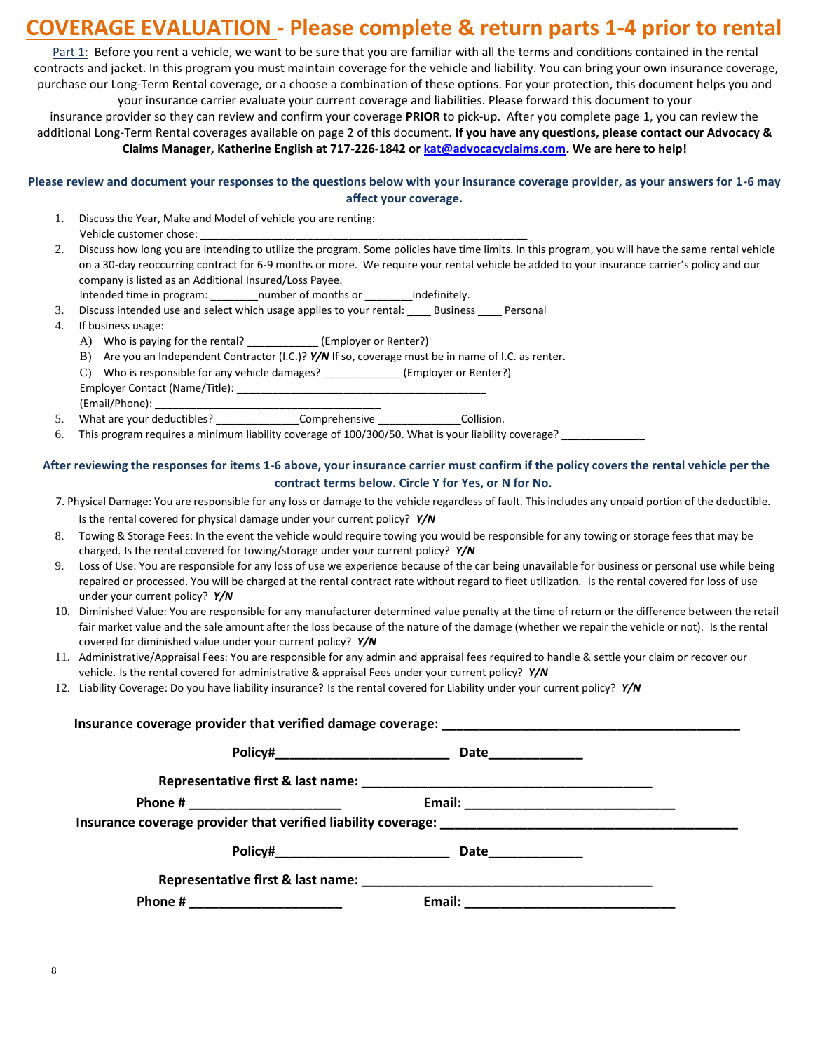# **COVERAGE EVALUATION - Please complete & return parts 1-4 prior to rental**

Part 1: Before you rent a vehicle, we want to be sure that you are familiar with all the terms and conditions contained in the rental contracts and jacket. In this program you must maintain coverage for the vehicle and liability. You can bring your own insurance coverage, purchase our Long-Term Rental coverage, or a choose a combination of these options. For your protection, this document helps you and your insurance carrier evaluate your current coverage and liabilities. Please forward this document to your

insurance provider so they can review and confirm your coverage **PRIOR** to pick-up. After you complete page 1, you can review the additional Long-Term Rental coverages available on page 2 of this document. **If you have any questions, please contact our Advocacy & Claims Manager, Katherine English at 717-226-1842 or kat@advocacyclaims.com. We are here to help!**

### **Please review and document your responses to the questions below with your insurance coverage provider, as your answers for 1-6 may affect your coverage.**

- 1. Discuss the Year, Make and Model of vehicle you are renting: Vehicle customer chose:
- 2. Discuss how long you are intending to utilize the program. Some policies have time limits. In this program, you will have the same rental vehicle on a 30-day reoccurring contract for 6-9 months or more. We require your rental vehicle be added to your insurance carrier's policy and our company is listed as an Additional Insured/Loss Payee.
	- Intended time in program: \_\_\_\_\_\_\_\_number of months or \_\_\_\_\_\_\_\_indefinitely.
- 3. Discuss intended use and select which usage applies to your rental: \_\_\_\_ Business \_\_\_\_ Personal
- 4. If business usage:
	- A) Who is paying for the rental? \_\_\_\_\_\_\_\_\_\_\_\_\_(Employer or Renter?)
	- B) Are you an Independent Contractor (I.C.)? *Y/N* If so, coverage must be in name of I.C. as renter.
	- C) Who is responsible for any vehicle damages? \_\_\_\_\_\_\_\_\_\_\_\_\_ (Employer or Renter?) Employer Contact (Name/Title): \_\_\_\_\_\_\_\_\_\_\_\_\_\_\_\_\_\_\_\_\_\_\_\_\_\_\_\_\_\_\_\_\_\_\_\_\_\_\_\_\_\_ (Email/Phone):
- 5. What are your deductibles? \_\_\_\_\_\_\_\_\_\_\_\_\_\_\_\_\_Comprehensive \_\_\_\_\_\_\_\_\_\_\_\_\_\_\_\_\_\_Collision.
- 6. This program requires a minimum liability coverage of 100/300/50. What is your liability coverage? \_\_\_\_\_\_\_\_

#### **After reviewing the responses for items 1-6 above, your insurance carrier must confirm if the policy covers the rental vehicle per the contract terms below. Circle Y for Yes, or N for No.**

- 7. Physical Damage: You are responsible for any loss or damage to the vehicle regardless of fault. This includes any unpaid portion of the deductible. Is the rental covered for physical damage under your current policy? *Y/N*
- 8. Towing & Storage Fees: In the event the vehicle would require towing you would be responsible for any towing or storage fees that may be charged. Is the rental covered for towing/storage under your current policy? *Y/N*
- 9. Loss of Use: You are responsible for any loss of use we experience because of the car being unavailable for business or personal use while being repaired or processed. You will be charged at the rental contract rate without regard to fleet utilization. Is the rental covered for loss of use under your current policy? *Y/N*
- 10. Diminished Value: You are responsible for any manufacturer determined value penalty at the time of return or the difference between the retail fair market value and the sale amount after the loss because of the nature of the damage (whether we repair the vehicle or not). Is the rental covered for diminished value under your current policy? *Y/N*
- 11. Administrative/Appraisal Fees: You are responsible for any admin and appraisal fees required to handle & settle your claim or recover our vehicle. Is the rental covered for administrative & appraisal Fees under your current policy? *Y/N*
- 12. Liability Coverage: Do you have liability insurance? Is the rental covered for Liability under your current policy? *Y/N*

| Policy#_____________________________ | Date_____________ |
|--------------------------------------|-------------------|
|                                      |                   |
|                                      |                   |
|                                      |                   |
|                                      |                   |
|                                      |                   |
|                                      | Email:            |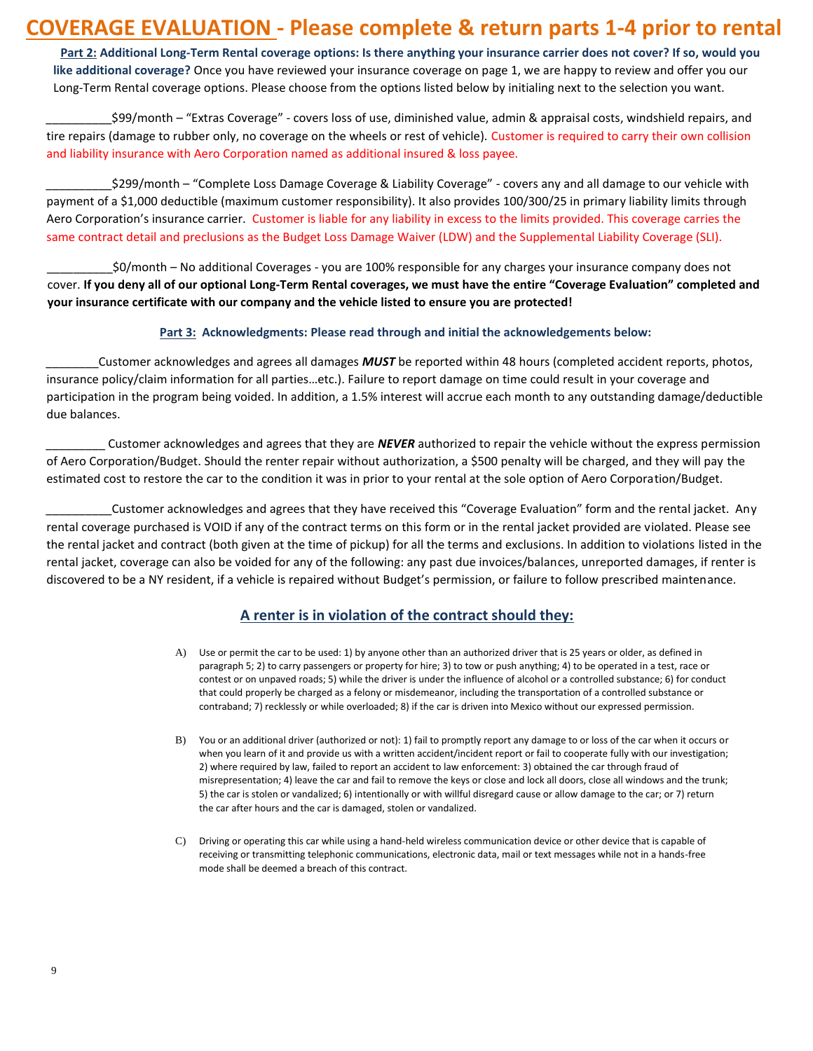### **COVERAGE EVALUATION - Please complete & return parts 1-4 prior to rental**

**Part 2: Additional Long-Term Rental coverage options: Is there anything your insurance carrier does not cover? If so, would you like additional coverage?** Once you have reviewed your insurance coverage on page 1, we are happy to review and offer you our Long-Term Rental coverage options. Please choose from the options listed below by initialing next to the selection you want.

\_\_\_\_\_\_\_\_\_\_\$99/month – "Extras Coverage" - covers loss of use, diminished value, admin & appraisal costs, windshield repairs, and tire repairs (damage to rubber only, no coverage on the wheels or rest of vehicle). Customer is required to carry their own collision and liability insurance with Aero Corporation named as additional insured & loss payee.

\_\_\_\_\_\_\_\_\_\_\$299/month – "Complete Loss Damage Coverage & Liability Coverage" - covers any and all damage to our vehicle with payment of a \$1,000 deductible (maximum customer responsibility). It also provides 100/300/25 in primary liability limits through Aero Corporation's insurance carrier. Customer is liable for any liability in excess to the limits provided. This coverage carries the same contract detail and preclusions as the Budget Loss Damage Waiver (LDW) and the Supplemental Liability Coverage (SLI).

\_\_\_\_\_\_\_\_\_\_\$0/month – No additional Coverages - you are 100% responsible for any charges your insurance company does not cover. **If you deny all of our optional Long-Term Rental coverages, we must have the entire "Coverage Evaluation" completed and your insurance certificate with our company and the vehicle listed to ensure you are protected!**

### **Part 3: Acknowledgments: Please read through and initial the acknowledgements below:**

\_\_\_\_\_\_\_\_Customer acknowledges and agrees all damages *MUST* be reported within 48 hours (completed accident reports, photos, insurance policy/claim information for all parties…etc.). Failure to report damage on time could result in your coverage and participation in the program being voided. In addition, a 1.5% interest will accrue each month to any outstanding damage/deductible due balances.

\_\_\_\_\_\_\_\_\_ Customer acknowledges and agrees that they are *NEVER* authorized to repair the vehicle without the express permission of Aero Corporation/Budget. Should the renter repair without authorization, a \$500 penalty will be charged, and they will pay the estimated cost to restore the car to the condition it was in prior to your rental at the sole option of Aero Corporation/Budget.

\_\_\_\_\_\_\_\_\_\_Customer acknowledges and agrees that they have received this "Coverage Evaluation" form and the rental jacket. Any rental coverage purchased is VOID if any of the contract terms on this form or in the rental jacket provided are violated. Please see the rental jacket and contract (both given at the time of pickup) for all the terms and exclusions. In addition to violations listed in the rental jacket, coverage can also be voided for any of the following: any past due invoices/balances, unreported damages, if renter is discovered to be a NY resident, if a vehicle is repaired without Budget's permission, or failure to follow prescribed maintenance.

### **A renter is in violation of the contract should they:**

- A) Use or permit the car to be used: 1) by anyone other than an authorized driver that is 25 years or older, as defined in paragraph 5; 2) to carry passengers or property for hire; 3) to tow or push anything; 4) to be operated in a test, race or contest or on unpaved roads; 5) while the driver is under the influence of alcohol or a controlled substance; 6) for conduct that could properly be charged as a felony or misdemeanor, including the transportation of a controlled substance or contraband; 7) recklessly or while overloaded; 8) if the car is driven into Mexico without our expressed permission.
- B) You or an additional driver (authorized or not): 1) fail to promptly report any damage to or loss of the car when it occurs or when you learn of it and provide us with a written accident/incident report or fail to cooperate fully with our investigation; 2) where required by law, failed to report an accident to law enforcement: 3) obtained the car through fraud of misrepresentation; 4) leave the car and fail to remove the keys or close and lock all doors, close all windows and the trunk; 5) the car is stolen or vandalized; 6) intentionally or with willful disregard cause or allow damage to the car; or 7) return the car after hours and the car is damaged, stolen or vandalized.
- C) Driving or operating this car while using a hand-held wireless communication device or other device that is capable of receiving or transmitting telephonic communications, electronic data, mail or text messages while not in a hands-free mode shall be deemed a breach of this contract.